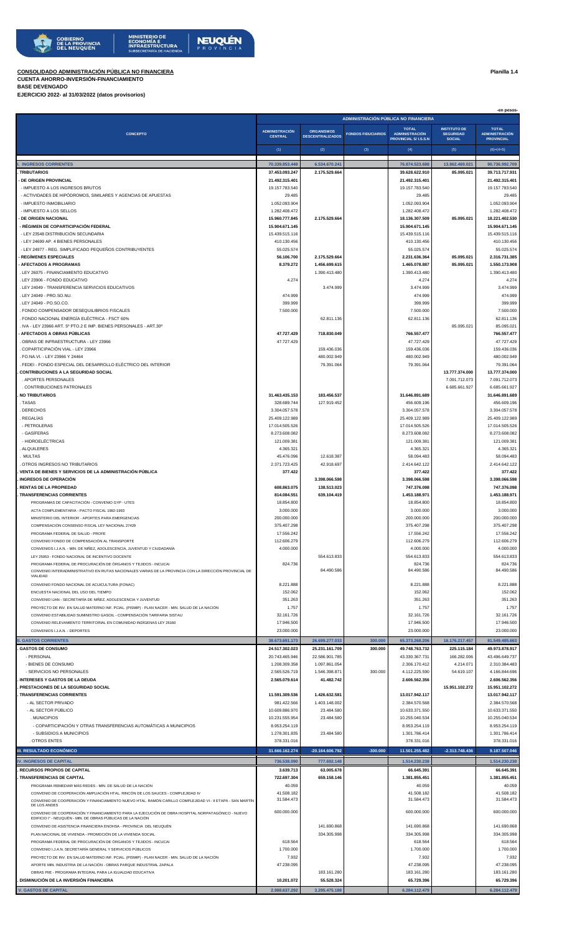## **CONSOLIDADO ADMINISTRACIÓN PÚBLICA NO FINANCIERA Planilla 1.4**

COMPENSACIÓN CONSENSO FISCAL LEY NACIONAL 27429

CONVENIO FONDO DE COMPENSACIÓN AL TRANSPORTE

**. PRESTACIONES DE LA SEGURIDAD SOCIAL 15.951.102.272 15.951.102.272**

## **CUENTA AHORRO-INVERSIÓN-FINANCIAMIENTO BASE DEVENGADO**

**EJERCICIO 2022- al 31/03/2022 (datos provisorios)**

|                                                                                               |                                         | ADMINISTRACIÓN PÚBLICA NO FINANCIERA         |                           |                                                                      |                                                          |                                                                           |  |  |  |  |
|-----------------------------------------------------------------------------------------------|-----------------------------------------|----------------------------------------------|---------------------------|----------------------------------------------------------------------|----------------------------------------------------------|---------------------------------------------------------------------------|--|--|--|--|
| CONCEPTO                                                                                      | <b>ADMINISTRACIÓN</b><br><b>CENTRAL</b> | <b>ORGANISMOS</b><br><b>DESCENTRALIZADOS</b> | <b>FONDOS FIDUCIARIOS</b> | <b>TOTAL</b><br><b>ADMINISTRACIÓN</b><br><b>PROVINCIAL S/I.S.S.N</b> | <b>INSTITUTO DE</b><br><b>SEGURIDAD</b><br><b>SOCIAL</b> | <b>TOTAL</b><br><b>ADMINISTRACIÓN</b><br><b>PROVINCIAL</b><br>$(6)=(4+5)$ |  |  |  |  |
|                                                                                               | (1)                                     | (2)                                          | (3)                       | (4)                                                                  | (5)                                                      |                                                                           |  |  |  |  |
| . INGRESOS CORRIENTES                                                                         | 70.339.853.448                          | 6.534.670.241                                |                           | 76.874.523.688                                                       | 13.862.469.021                                           | 90.736.992.709                                                            |  |  |  |  |
| TRIBUTARIOS                                                                                   | 37.453.093.247                          | 2.175.529.664                                |                           | 39.628.622.910                                                       | 85.095.021                                               | 39.713.717.931                                                            |  |  |  |  |
| <b>DE ORIGEN PROVINCIAL</b>                                                                   | 21.492.315.401                          |                                              |                           | 21.492.315.401                                                       |                                                          | 21.492.315.401                                                            |  |  |  |  |
| - IMPUESTO A LOS INGRESOS BRUTOS                                                              | 19.157.783.540                          |                                              |                           | 19.157.783.540                                                       |                                                          | 19.157.783.540                                                            |  |  |  |  |
| - ACTIVIDADES DE HIPÓDROMOS, SIMILARES Y AGENCIAS DE APUESTAS                                 | 29.485                                  |                                              |                           | 29.485                                                               |                                                          | 29,485                                                                    |  |  |  |  |
| - IMPUESTO INMOBILIARIO                                                                       | 1.052.093.904                           |                                              |                           | 1.052.093.904                                                        |                                                          | 1.052.093.904                                                             |  |  |  |  |
| - IMPUESTO A LOS SELLOS                                                                       | 1.282.408.472                           |                                              |                           | 1.282.408.472                                                        |                                                          | 1.282.408.472                                                             |  |  |  |  |
| <b>DE ORIGEN NACIONAL</b>                                                                     | 15.960.777.845                          | 2.175.529.664                                |                           | 18.136.307.509                                                       | 85.095.021                                               | 18.221.402.530                                                            |  |  |  |  |
| - RÉGIMEN DE COPARTICIPACIÓN FEDERAL                                                          | 15.904.671.145                          |                                              |                           | 15.904.671.145                                                       |                                                          | 15.904.671.145                                                            |  |  |  |  |
| - LEY 23548 DISTRIBUCIÓN SECUNDARIA                                                           | 15.439.515.116                          |                                              |                           | 15.439.515.116                                                       |                                                          | 15.439.515.116                                                            |  |  |  |  |
| - LEY 24699 AP. 4 BIENES PERSONALES                                                           | 410.130.456                             |                                              |                           | 410.130.456                                                          |                                                          | 410.130.456                                                               |  |  |  |  |
| - LEY 24977 - REG. SIMPLIFICADO PEQUEÑOS CONTRIBUYENTES                                       | 55.025.574                              |                                              |                           | 55.025.574                                                           |                                                          | 55.025.574                                                                |  |  |  |  |
| <b>REGÍMENES ESPECIALES</b>                                                                   | 56.106.700                              | 2.175.529.664                                |                           | 2.231.636.364                                                        | 85.095.021                                               | 2.316.731.385                                                             |  |  |  |  |
| - AFECTADOS A PROGRAMAS                                                                       | 8.379.272                               | 1.456.699.615                                |                           | 1.465.078.887                                                        | 85.095.021                                               | 1.550.173.908                                                             |  |  |  |  |
| LEY 26075 - FINANCIAMIENTO EDUCATIVO                                                          |                                         | 1.390.413.480                                |                           | 1.390.413.480                                                        |                                                          | 1.390.413.480                                                             |  |  |  |  |
| LEY 23906 - FONDO EDUCATIVO                                                                   | 4.274                                   |                                              |                           | 4.274                                                                |                                                          | 4.274                                                                     |  |  |  |  |
| LEY 24049 - TRANSFERENCIA SERVICIOS EDUCATIVOS                                                |                                         | 3.474.999                                    |                           | 3.474.999                                                            |                                                          | 3.474.999                                                                 |  |  |  |  |
| LEY 24049 - PRO.SO.NU.                                                                        | 474.999                                 |                                              |                           | 474.999                                                              |                                                          | 474.999                                                                   |  |  |  |  |
| LEY 24049 - PO.SO.CO.                                                                         | 399.999                                 |                                              |                           | 399.999                                                              |                                                          | 399.999                                                                   |  |  |  |  |
| FONDO COMPENSADOR DESEQUILIBRIOS FISCALES                                                     | 7.500.000                               |                                              |                           | 7.500.000                                                            |                                                          | 7.500.000                                                                 |  |  |  |  |
| FONDO NACIONAL ENERGÍA ELÉCTRICA - FSCT 60%                                                   |                                         | 62.811.136                                   |                           | 62.811.136                                                           |                                                          | 62.811.136                                                                |  |  |  |  |
| IVA - LEY 23966 ART, 5º PTO.2 E IMP, BIENES PERSONALES - ART.30º                              |                                         |                                              |                           |                                                                      | 85.095.021                                               | 85.095.021                                                                |  |  |  |  |
| AFECTADOS A OBRAS PÚBLICAS                                                                    | 47.727.429                              | 718.830.049                                  |                           | 766.557.477                                                          |                                                          | 766.557.477                                                               |  |  |  |  |
| OBRAS DE INFRAESTRUCTURA - LEY 23966                                                          | 47.727.429                              |                                              |                           | 47.727.429                                                           |                                                          | 47.727.429                                                                |  |  |  |  |
| COPARTICIPACIÓN VIAL - LEY 23966                                                              |                                         | 159.436.036                                  |                           | 159.436.036                                                          |                                                          | 159.436.036                                                               |  |  |  |  |
|                                                                                               |                                         |                                              |                           |                                                                      |                                                          | 480.002.949                                                               |  |  |  |  |
| FO.NA.VI. - LEY 23966 Y 24464<br>FEDEI - FONDO ESPECIAL DEL DESARROLLO ELÉCTRICO DEL INTERIOR |                                         | 480.002.949                                  |                           | 480.002.949                                                          |                                                          |                                                                           |  |  |  |  |
| <b>CONTRIBUCIONES A LA SEGURIDAD SOCIAL</b>                                                   |                                         | 79.391.064                                   |                           | 79.391.064                                                           | 13.777.374.000                                           | 79.391.064<br>13.777.374.000                                              |  |  |  |  |
| . APORTES PERSONALES                                                                          |                                         |                                              |                           |                                                                      | 7.091.712.073                                            | 7.091.712.073                                                             |  |  |  |  |
| CONTRIBUCIONES PATRONALES                                                                     |                                         |                                              |                           |                                                                      |                                                          |                                                                           |  |  |  |  |
| <b>NO TRIBUTARIOS</b>                                                                         |                                         |                                              |                           |                                                                      | 6.685.661.927                                            | 6.685.661.927                                                             |  |  |  |  |
|                                                                                               | 31.463.435.153                          | 183.456.537                                  |                           | 31.646.891.689                                                       |                                                          | 31.646.891.689                                                            |  |  |  |  |
| . TASAS                                                                                       | 328.689.744                             | 127.919.452                                  |                           | 456.609.196                                                          |                                                          | 456.609.196                                                               |  |  |  |  |
| <b>DERECHOS</b><br>REGALÍAS                                                                   | 3.304.057.578<br>25.409.122.989         |                                              |                           | 3.304.057.578<br>25.409.122.989                                      |                                                          | 3.304.057.578<br>25.409.122.989                                           |  |  |  |  |
| - PETROLERAS                                                                                  | 17.014.505.526                          |                                              |                           | 17.014.505.526                                                       |                                                          | 17.014.505.526                                                            |  |  |  |  |
| - GASÍFERAS                                                                                   | 8.273.608.082                           |                                              |                           | 8.273.608.082                                                        |                                                          | 8.273.608.082                                                             |  |  |  |  |
|                                                                                               |                                         |                                              |                           |                                                                      |                                                          |                                                                           |  |  |  |  |
| - HIDROELÉCTRICAS<br>. ALQUILERES                                                             | 121.009.381<br>4.365.321                |                                              |                           | 121.009.381<br>4.365.321                                             |                                                          | 121.009.381<br>4.365.321                                                  |  |  |  |  |
|                                                                                               |                                         |                                              |                           |                                                                      |                                                          |                                                                           |  |  |  |  |
| MULTAS<br>OTROS INGRESOS NO TRIBUTARIOS                                                       | 45.476.096<br>2.371.723.425             | 12.618.387<br>42.918.697                     |                           | 58.094.483<br>2.414.642.122                                          |                                                          | 58.094.483<br>2.414.642.122                                               |  |  |  |  |
| VENTA DE BIENES Y SERVICIOS DE LA ADMINISTRACIÓN PÚBLICA                                      | 377.422                                 |                                              |                           |                                                                      |                                                          |                                                                           |  |  |  |  |
|                                                                                               |                                         |                                              |                           | 377.422                                                              |                                                          | 377.422                                                                   |  |  |  |  |
| <b>INGRESOS DE OPERACIÓN</b><br><b>RENTAS DE LA PROPIEDAD</b>                                 | 608.863.075                             | 3.398.066.598<br>138.513.023                 |                           | 3.398.066.598<br>747.376.098                                         |                                                          | 3.398.066.598<br>747.376.098                                              |  |  |  |  |
|                                                                                               |                                         |                                              |                           |                                                                      |                                                          |                                                                           |  |  |  |  |
| TRANSFERENCIAS CORRIENTES                                                                     | 814.084.551                             | 639.104.419                                  |                           | 1.453.188.971                                                        |                                                          | 1.453.188.971                                                             |  |  |  |  |
| PROGRAMAS DE CAPACITACIÓN - CONVENIO GYP - UTES                                               | 18.854.800                              |                                              |                           | 18.854.800                                                           |                                                          | 18.854.800                                                                |  |  |  |  |
| ACTA COMPLEMENTARIA - PACTO FISCAL 1992-1993                                                  | 3.000.000                               |                                              |                           | 3.000.000                                                            |                                                          | 3.000.000                                                                 |  |  |  |  |
| MINISTERIO DEL INTERIOR - APORTES PARA EMERGENCIAS                                            | 200.000.000                             |                                              |                           | 200.000.000                                                          |                                                          | 200.000.000                                                               |  |  |  |  |
| COMPENSACIÓN CONSENSO FISCAL LEY NACIONAL 27429                                               | 375.407.298                             |                                              |                           | 375.407.298                                                          |                                                          | 375.407.298                                                               |  |  |  |  |

PROGRAMA FEDERAL DE SALUD - PROFE 17.556.242<br>
CONVENIO FONDO DE COMPENSACIÓN AL TRANSPORTE NATURAL EN ENTRE EN ENTRE EN ENTRE EN ENTRE EN EN ENFRE EN EN EN<br>
2009 112.606.279 112.606.279 112.606.279 112.606.279 112.606.279

CONVENIOS I.J.A.N. - MIN. DE NIÑEZ, ADOLESCENCIA, JUVENTUD Y CIUDADANÍA 4.000.000 4.000.000 4.000.000 LEY 25053 - FONDO NACIONAL DE INCENTIVO DOCENTE 554.613.833 554.613.833 554.613.833

CONVENIO FONDO NACIONAL DE ACUICULTURA (FONAC) **8.221.888** 8.221.888 8.221.888 8.221.888 8.221.888 8.221.888 8.221.888 8.221.888 8.221.888 8.221.888 8.221.888 8.221.888 8.221.888 8.221.888 8.221.888 8.221.888 8.221.888 8.2

CONVENIO IJAN - SECRETARÍA DE NIÑEZ, ADOLESCENCIA Y JUVENTUD 351.263 351.263 351.263 PROYECTO DE INV. EN SALUD MATERNO INF. PCIAL. (PISMIP) - PLAN NACER - MIN. SALUD DE LA NACIÓN 1.757 1.757 1.757 1.757 1.757 1.757 1.757 1.757 1.757 1.757 1.757 1.757 1.757 1.757 1.757 1.757 1.757 1.757 1.757 1.757 1.757 1. CONVENIO ESTABILIDAD SUMINISTRO GASOIL - COMPENSACIÓN TARIFARIA SISTAU 32.161.726 32.161.726 32.161.726 32.161.726 32.161.726 32.161.726 32.161.726 CONVENIO RELEVAMIENTO TERRITORIAL EN COMUNIDAD INDÍGENAS LEY 26160 17.946.500 17.946.500 17.946.500 17.946.500 CONVENIOS I.J.A.N. - DEPORTES 23.000.000 23.000.000 23.000.000 **II. GASTOS CORRIENTES 38.673.691.173 26.699.277.033 300.000 65.373.268.206 16.176.217.457 81.549.485.663 . GASTOS DE CONSUMO 24.517.302.023 25.231.161.709 300.000 49.748.763.732 225.115.184 49.973.878.917** - PERSONAL 20.743.455.946 22.586.901.785 43.330.367.731 466.282.006 43.496.649.737 43.330.367.731 166.282.006 43.496.649.737 - BIENES DE CONSUMO 1.208.309.358 1.097.861.054 1.208.309.358 1.097.861.054 2.306.170.412 4.214.071 2.310.384.483 - SERVICIOS NO PERSONALES 2.565.526.719 1.546.398.871 300.000 4.112.225.590 54.619.107 4.166.844.696 **. INTERESES Y GASTOS DE LA DEUDA ANNO 2.506.562.356 <b>1.565.079.614 41.482.742 2.606.562.356 2.606.562.356 2.606.562.356 41.482.742 41.482.742 1.5951.102.272** 15.951.102.272

PROGRAMA FEDERAL DE PROCURACIÓN DE ÓRGANOS Y TEJIDOS - INCUCAI 824.<br>CONVENIO INTERADMINISTRATIVO EN RUTAS NACIONALES VARIAS DE LA PROVINCIA CON LA DIRECCIÓN PROVINCIAL DE \$4490.58

84.490.586 84.490.586 84.490.586

| <b>TRANSFERENCIAS CORRIENTES</b>                                                                                                                                 | 11.591.309.536 | 1.426.632.581     |            | 13.017.942.117 |                  | 13.017.942.117 |
|------------------------------------------------------------------------------------------------------------------------------------------------------------------|----------------|-------------------|------------|----------------|------------------|----------------|
| - AL SECTOR PRIVADO                                                                                                                                              | 981.422.566    | 1.403.148.002     |            | 2.384.570.568  |                  | 2.384.570.568  |
| - AL SECTOR PÚBLICO                                                                                                                                              | 10.609.886.970 | 23.484.580        |            | 10.633.371.550 |                  | 10.633.371.55  |
| . MUNICIPIOS                                                                                                                                                     | 10.231.555.954 | 23.484.580        |            | 10.255.040.534 |                  | 10.255.040.53  |
| - COPARTICIPACIÓN Y OTRAS TRANSFERENCIAS AUTOMÁTICAS A MUNICIPIOS                                                                                                | 8.953.254.119  |                   |            | 8.953.254.119  |                  | 8.953.254.119  |
| - SUBSIDIOS A MUNICIPIOS                                                                                                                                         | 1.278.301.835  | 23.484.580        |            | 1.301.786.414  |                  | 1.301.786.414  |
| OTROS ENTES                                                                                                                                                      | 378.331.016    |                   |            | 378.331.016    |                  | 378.331.016    |
| <b>III. RESULTADO ECONÓMICO</b>                                                                                                                                  | 31.666.162.274 | $-20.164.606.792$ | $-300.000$ | 11.501.255.482 | $-2.313.748.436$ | 9.187.507.046  |
| <b>IV. INGRESOS DE CAPITAL</b>                                                                                                                                   | 736.538.090    | 777.692.148       |            | 1.514.230.238  |                  | 1.514.230.238  |
| <b>RECURSOS PROPIOS DE CAPITAL</b>                                                                                                                               | 3.639.713      | 63.005.678        |            | 66.645.391     |                  | 66.645.39      |
| <b>TRANSFERENCIAS DE CAPITAL</b>                                                                                                                                 | 722.697.304    | 659.158.146       |            | 1.381.855.451  |                  | 1.381.855.45   |
| PROGRAMA REMEDIAR MÁS REDES - MIN. DE SALUD DE LA NACIÓN                                                                                                         | 40.059         |                   |            | 40.059         |                  | 40.059         |
| CONVENIO DE COOPERACIÓN AMPLIACIÓN HTAL, RINCÓN DE LOS SAUCES - COMPLEJIDAD IV                                                                                   | 41.508.182     |                   |            | 41.508.182     |                  | 41.508.182     |
| CONVENIO DE COOPERACIÓN Y FINANCIAMIENTO NUEVO HTAL. RAMÓN CARILLO COMPLEJIDAD VI - II ETAPA - SAN MARTÍN<br>DE LOS ANDES                                        | 31.584.473     |                   |            | 31.584.473     |                  | 31.584.473     |
| CONVENIO DE COOPERACIÓN Y FINANCIAMIENTO PARA LA EJECUCIÓN DE OBRA HOSPITAL NORPATAGÓNICO - NUEVO<br>EDIFICIO Iº - NEUQUÉN - MIN, DE OBRAS PÚBLICAS DE LA NACIÓN | 600.000.000    |                   |            | 600.000.000    |                  | 600.000.000    |
| CONVENIO DE ASISTENCIA FINANCIERA ENOHSA - PROVINCIA DEL NEUQUÉN                                                                                                 |                | 141.690.868       |            | 141.690.868    |                  | 141.690.868    |
| PLAN NACIONAL DE VIVIENDA - PROMOCIÓN DE LA VIVIENDA SOCIAL                                                                                                      |                | 334.305.998       |            | 334.305.998    |                  | 334.305.998    |
| PROGRAMA FEDERAL DE PROCURACIÓN DE ÓRGANOS Y TEJIDOS - INCUCAL                                                                                                   | 618.564        |                   |            | 618.564        |                  | 618.564        |
| CONVENIO LLA N. SECRETARÍA GENERAL Y SERVICIOS PÚBLICOS                                                                                                          | 1.700.000      |                   |            | 1.700.000      |                  | 1.700.000      |
| PROYECTO DE INV. EN SALUD MATERNO INF. PCIAL. (PISMIP) - PLAN NACER - MIN. SALUD DE LA NACIÓN                                                                    | 7.932          |                   |            | 7.932          |                  | 7.932          |
| APORTE MIN. INDUSTRIA DE LA NACIÓN - OBRAS PARQUE INDUSTRIAL ZAPALA                                                                                              | 47.238.095     |                   |            | 47.238.095     |                  | 47.238.095     |
| OBRAS PIIE - PROGRAMA INTEGRAL PARA LA IGUALDAD EDUCATIVA                                                                                                        |                | 183.161.280       |            | 183.161.280    |                  | 183.161.28     |
| . DISMINUCIÓN DE LA INVERSIÓN FINANCIERA                                                                                                                         | 10.201.072     | 55.528.324        |            | 65.729.396     |                  | 65.729.39      |
| <b>V. GASTOS DE CAPITAL</b>                                                                                                                                      | 2.988.637.292  | 3.295.475.188     |            | 6.284.112.479  |                  | 6.284.112.479  |

CONVENIO INTERADMINISTRATIVO EN RUTAS NACIONALES VARIAS DE LA PROVINCIA CON LA DIRECCIÓN PROVINCIAL DE VIALIDAD

ENCUESTA NACIONAL DEL USO DEL TIEMPO 152.062 152.062 152.062